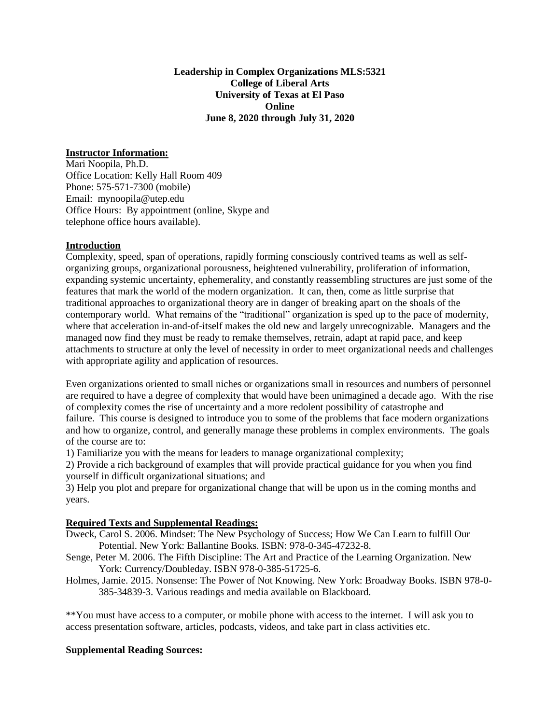**Leadership in Complex Organizations MLS:5321 College of Liberal Arts University of Texas at El Paso Online June 8, 2020 through July 31, 2020**

#### **Instructor Information:**

Mari Noopila, Ph.D. Office Location: Kelly Hall Room 409 Phone: 575-571-7300 (mobile) Email: mynoopila@utep.edu Office Hours: By appointment (online, Skype and telephone office hours available).

#### **Introduction**

Complexity, speed, span of operations, rapidly forming consciously contrived teams as well as selforganizing groups, organizational porousness, heightened vulnerability, proliferation of information, expanding systemic uncertainty, ephemerality, and constantly reassembling structures are just some of the features that mark the world of the modern organization. It can, then, come as little surprise that traditional approaches to organizational theory are in danger of breaking apart on the shoals of the contemporary world. What remains of the "traditional" organization is sped up to the pace of modernity, where that acceleration in-and-of-itself makes the old new and largely unrecognizable. Managers and the managed now find they must be ready to remake themselves, retrain, adapt at rapid pace, and keep attachments to structure at only the level of necessity in order to meet organizational needs and challenges with appropriate agility and application of resources.

Even organizations oriented to small niches or organizations small in resources and numbers of personnel are required to have a degree of complexity that would have been unimagined a decade ago. With the rise of complexity comes the rise of uncertainty and a more redolent possibility of catastrophe and failure. This course is designed to introduce you to some of the problems that face modern organizations and how to organize, control, and generally manage these problems in complex environments. The goals of the course are to:

1) Familiarize you with the means for leaders to manage organizational complexity;

2) Provide a rich background of examples that will provide practical guidance for you when you find yourself in difficult organizational situations; and

3) Help you plot and prepare for organizational change that will be upon us in the coming months and years.

### **Required Texts and Supplemental Readings:**

- Dweck, Carol S. 2006. Mindset: The New Psychology of Success; How We Can Learn to fulfill Our Potential. New York: Ballantine Books. ISBN: 978-0-345-47232-8.
- Senge, Peter M. 2006. The Fifth Discipline: The Art and Practice of the Learning Organization. New York: Currency/Doubleday. ISBN 978-0-385-51725-6.
- Holmes, Jamie. 2015. Nonsense: The Power of Not Knowing. New York: Broadway Books. ISBN 978-0- 385-34839-3. Various readings and media available on Blackboard.

\*\*You must have access to a computer, or mobile phone with access to the internet. I will ask you to access presentation software, articles, podcasts, videos, and take part in class activities etc.

#### **Supplemental Reading Sources:**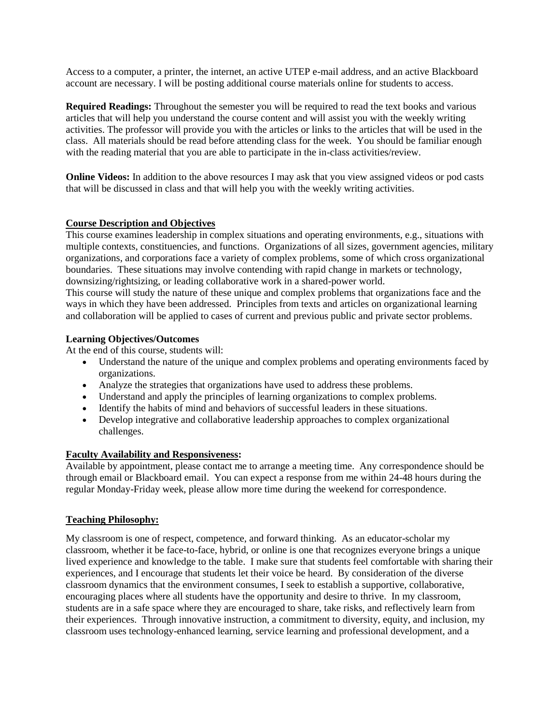Access to a computer, a printer, the internet, an active UTEP e-mail address, and an active Blackboard account are necessary. I will be posting additional course materials online for students to access.

**Required Readings:** Throughout the semester you will be required to read the text books and various articles that will help you understand the course content and will assist you with the weekly writing activities. The professor will provide you with the articles or links to the articles that will be used in the class. All materials should be read before attending class for the week. You should be familiar enough with the reading material that you are able to participate in the in-class activities/review.

**Online Videos:** In addition to the above resources I may ask that you view assigned videos or pod casts that will be discussed in class and that will help you with the weekly writing activities.

## **Course Description and Objectives**

This course examines leadership in complex situations and operating environments, e.g., situations with multiple contexts, constituencies, and functions. Organizations of all sizes, government agencies, military organizations, and corporations face a variety of complex problems, some of which cross organizational boundaries. These situations may involve contending with rapid change in markets or technology, downsizing/rightsizing, or leading collaborative work in a shared-power world.

This course will study the nature of these unique and complex problems that organizations face and the ways in which they have been addressed. Principles from texts and articles on organizational learning and collaboration will be applied to cases of current and previous public and private sector problems.

## **Learning Objectives/Outcomes**

At the end of this course, students will:

- Understand the nature of the unique and complex problems and operating environments faced by organizations.
- Analyze the strategies that organizations have used to address these problems.
- Understand and apply the principles of learning organizations to complex problems.
- Identify the habits of mind and behaviors of successful leaders in these situations.
- Develop integrative and collaborative leadership approaches to complex organizational challenges.

### **Faculty Availability and Responsiveness:**

Available by appointment, please contact me to arrange a meeting time. Any correspondence should be through email or Blackboard email. You can expect a response from me within 24-48 hours during the regular Monday-Friday week, please allow more time during the weekend for correspondence.

### **Teaching Philosophy:**

My classroom is one of respect, competence, and forward thinking. As an educator-scholar my classroom, whether it be face-to-face, hybrid, or online is one that recognizes everyone brings a unique lived experience and knowledge to the table. I make sure that students feel comfortable with sharing their experiences, and I encourage that students let their voice be heard. By consideration of the diverse classroom dynamics that the environment consumes, I seek to establish a supportive, collaborative, encouraging places where all students have the opportunity and desire to thrive. In my classroom, students are in a safe space where they are encouraged to share, take risks, and reflectively learn from their experiences. Through innovative instruction, a commitment to diversity, equity, and inclusion, my classroom uses technology-enhanced learning, service learning and professional development, and a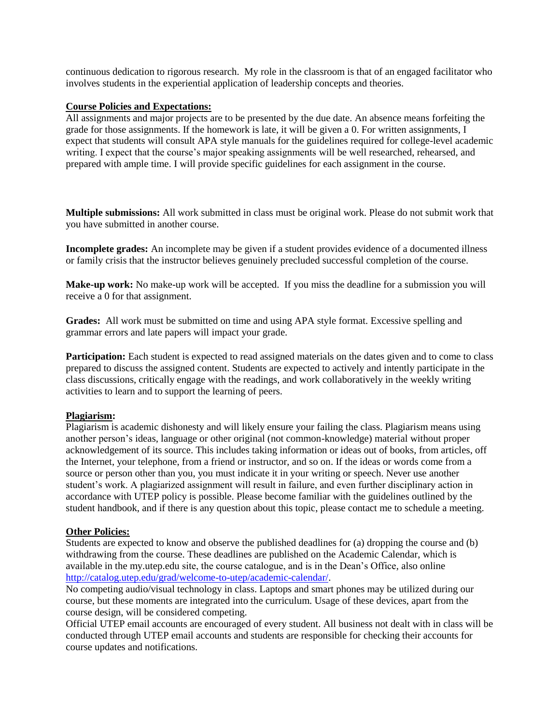continuous dedication to rigorous research. My role in the classroom is that of an engaged facilitator who involves students in the experiential application of leadership concepts and theories.

#### **Course Policies and Expectations:**

All assignments and major projects are to be presented by the due date. An absence means forfeiting the grade for those assignments. If the homework is late, it will be given a 0. For written assignments, I expect that students will consult APA style manuals for the guidelines required for college-level academic writing. I expect that the course's major speaking assignments will be well researched, rehearsed, and prepared with ample time. I will provide specific guidelines for each assignment in the course.

**Multiple submissions:** All work submitted in class must be original work. Please do not submit work that you have submitted in another course.

**Incomplete grades:** An incomplete may be given if a student provides evidence of a documented illness or family crisis that the instructor believes genuinely precluded successful completion of the course.

**Make-up work:** No make-up work will be accepted. If you miss the deadline for a submission you will receive a 0 for that assignment.

**Grades:** All work must be submitted on time and using APA style format. Excessive spelling and grammar errors and late papers will impact your grade.

**Participation:** Each student is expected to read assigned materials on the dates given and to come to class prepared to discuss the assigned content. Students are expected to actively and intently participate in the class discussions, critically engage with the readings, and work collaboratively in the weekly writing activities to learn and to support the learning of peers.

### **Plagiarism:**

Plagiarism is academic dishonesty and will likely ensure your failing the class. Plagiarism means using another person's ideas, language or other original (not common-knowledge) material without proper acknowledgement of its source. This includes taking information or ideas out of books, from articles, off the Internet, your telephone, from a friend or instructor, and so on. If the ideas or words come from a source or person other than you, you must indicate it in your writing or speech. Never use another student's work. A plagiarized assignment will result in failure, and even further disciplinary action in accordance with UTEP policy is possible. Please become familiar with the guidelines outlined by the student handbook, and if there is any question about this topic, please contact me to schedule a meeting.

#### **Other Policies:**

Students are expected to know and observe the published deadlines for (a) dropping the course and (b) withdrawing from the course. These deadlines are published on the Academic Calendar, which is available in the my.utep.edu site, the course catalogue, and is in the Dean's Office, also online [http://catalog.utep.edu/grad/welcome-to-utep/academic-calendar/.](http://catalog.utep.edu/grad/welcome-to-utep/academic-calendar/)

No competing audio/visual technology in class. Laptops and smart phones may be utilized during our course, but these moments are integrated into the curriculum. Usage of these devices, apart from the course design, will be considered competing.

Official UTEP email accounts are encouraged of every student. All business not dealt with in class will be conducted through UTEP email accounts and students are responsible for checking their accounts for course updates and notifications.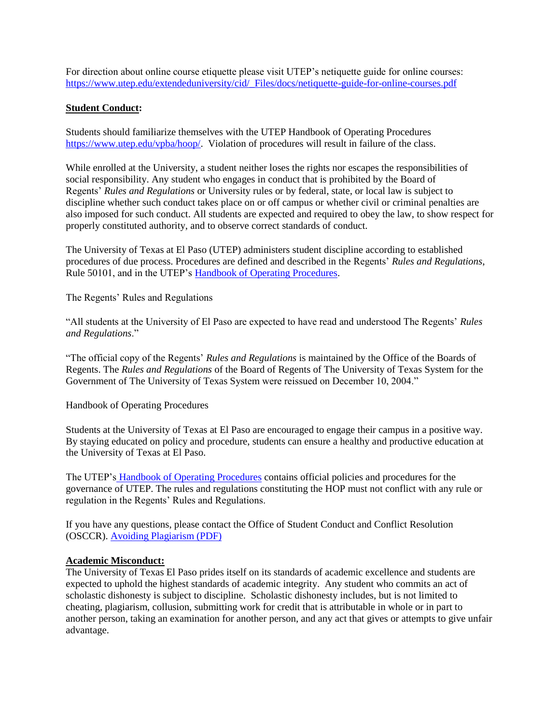For direction about online course etiquette please visit UTEP's netiquette guide for online courses: [https://www.utep.edu/extendeduniversity/cid/\\_Files/docs/netiquette-guide-for-online-courses.pdf](https://www.utep.edu/extendeduniversity/cid/_Files/docs/netiquette-guide-for-online-courses.pdf)

## **Student Conduct:**

Students should familiarize themselves with the UTEP Handbook of Operating Procedures [https://www.utep.edu/vpba/hoop/.](https://www.utep.edu/vpba/hoop/) Violation of procedures will result in failure of the class.

While enrolled at the University, a student neither loses the rights nor escapes the responsibilities of social responsibility. Any student who engages in conduct that is prohibited by the Board of Regents' *Rules and Regulations* or University rules or by federal, state, or local law is subject to discipline whether such conduct takes place on or off campus or whether civil or criminal penalties are also imposed for such conduct. All students are expected and required to obey the law, to show respect for properly constituted authority, and to observe correct standards of conduct.

The University of Texas at El Paso (UTEP) administers student discipline according to established procedures of due process. Procedures are defined and described in the Regents' *Rules and Regulations*, Rule 50101, and in the UTEP's [Handbook of Operating Procedures.](http://hoop.utep.edu/)

The Regents' Rules and Regulations

"All students at the University of El Paso are expected to have read and understood The Regents' *Rules and Regulations*."

"The official copy of the Regents' *Rules and Regulations* is maintained by the Office of the Boards of Regents. The *Rules and Regulations* of the Board of Regents of The University of Texas System for the Government of The University of Texas System were reissued on December 10, 2004."

Handbook of Operating Procedures

Students at the University of Texas at El Paso are encouraged to engage their campus in a positive way. By staying educated on policy and procedure, students can ensure a healthy and productive education at the University of Texas at El Paso.

The UTEP's [Handbook of Operating Procedures](http://hoop.utep.edu/) contains official policies and procedures for the governance of UTEP. The rules and regulations constituting the HOP must not conflict with any rule or regulation in the Regents' Rules and Regulations.

If you have any questions, please contact the Office of Student Conduct and Conflict Resolution (OSCCR). [Avoiding Plagiarism \(PDF\)](https://www.utep.edu/student-affairs/osccr/_Files/docs/Avoiding-Plagiarism.pdf)

### **Academic Misconduct:**

The University of Texas El Paso prides itself on its standards of academic excellence and students are expected to uphold the highest standards of academic integrity. Any student who commits an act of scholastic dishonesty is subject to discipline. Scholastic dishonesty includes, but is not limited to cheating, plagiarism, collusion, submitting work for credit that is attributable in whole or in part to another person, taking an examination for another person, and any act that gives or attempts to give unfair advantage.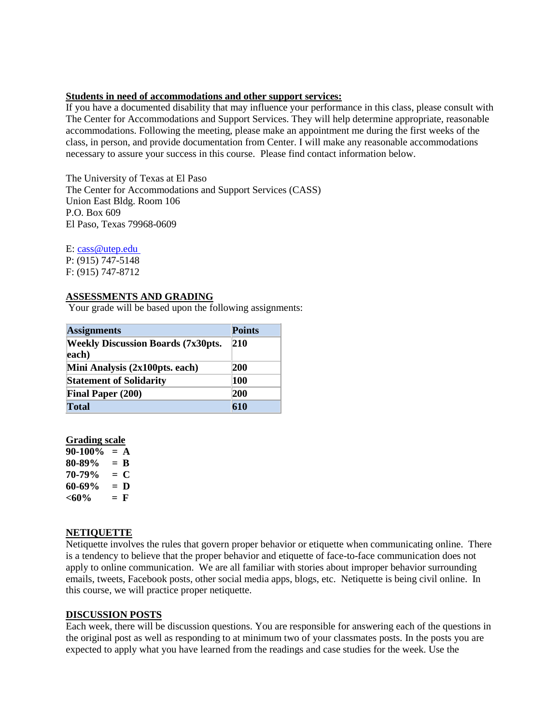#### **Students in need of accommodations and other support services:**

If you have a documented disability that may influence your performance in this class, please consult with The Center for Accommodations and Support Services. They will help determine appropriate, reasonable accommodations. Following the meeting, please make an appointment me during the first weeks of the class, in person, and provide documentation from Center. I will make any reasonable accommodations necessary to assure your success in this course. Please find contact information below.

The University of Texas at El Paso The Center for Accommodations and Support Services (CASS) Union East Bldg. Room 106 P.O. Box 609 El Paso, Texas 79968-0609

E: [cass@utep.edu](mailto:cass@utep.edu) P: (915) 747-5148 F: (915) 747-8712

### **ASSESSMENTS AND GRADING**

Your grade will be based upon the following assignments:

| <b>Assignments</b>                                 | <b>Points</b> |
|----------------------------------------------------|---------------|
| <b>Weekly Discussion Boards (7x30pts.</b><br>each) | $ 210\rangle$ |
| Mini Analysis (2x100pts. each)                     | 200           |
| <b>Statement of Solidarity</b>                     | 100           |
| <b>Final Paper (200)</b>                           | 200           |
| <b>Total</b>                                       | 610           |

#### **Grading scale**

**90-100% = A 80-89% = B 70-79% = C 60-69% = D**  $<60\%$  = **F** 

### **NETIQUETTE**

Netiquette involves the rules that govern proper behavior or etiquette when communicating online. There is a tendency to believe that the proper behavior and etiquette of face-to-face communication does not apply to online communication. We are all familiar with stories about improper behavior surrounding emails, tweets, Facebook posts, other social media apps, blogs, etc. Netiquette is being civil online. In this course, we will practice proper netiquette.

### **DISCUSSION POSTS**

Each week, there will be discussion questions. You are responsible for answering each of the questions in the original post as well as responding to at minimum two of your classmates posts. In the posts you are expected to apply what you have learned from the readings and case studies for the week. Use the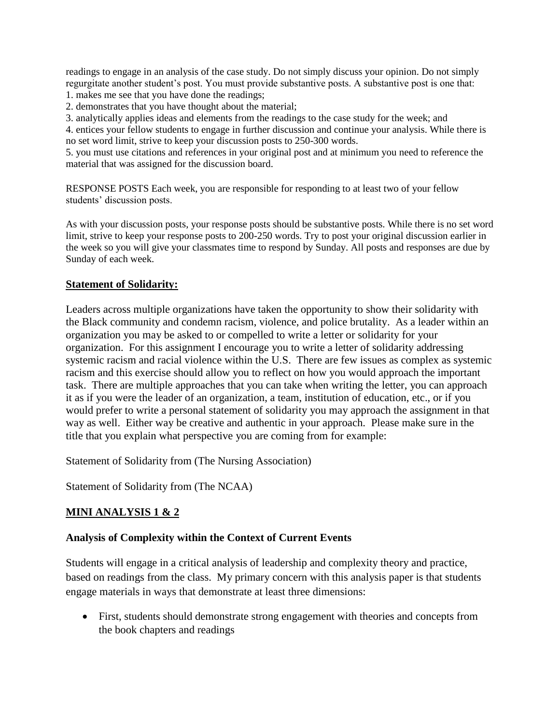readings to engage in an analysis of the case study. Do not simply discuss your opinion. Do not simply regurgitate another student's post. You must provide substantive posts. A substantive post is one that:

- 1. makes me see that you have done the readings;
- 2. demonstrates that you have thought about the material;

3. analytically applies ideas and elements from the readings to the case study for the week; and

4. entices your fellow students to engage in further discussion and continue your analysis. While there is no set word limit, strive to keep your discussion posts to 250-300 words.

5. you must use citations and references in your original post and at minimum you need to reference the material that was assigned for the discussion board.

RESPONSE POSTS Each week, you are responsible for responding to at least two of your fellow students' discussion posts.

As with your discussion posts, your response posts should be substantive posts. While there is no set word limit, strive to keep your response posts to 200-250 words. Try to post your original discussion earlier in the week so you will give your classmates time to respond by Sunday. All posts and responses are due by Sunday of each week.

## **Statement of Solidarity:**

Leaders across multiple organizations have taken the opportunity to show their solidarity with the Black community and condemn racism, violence, and police brutality. As a leader within an organization you may be asked to or compelled to write a letter or solidarity for your organization. For this assignment I encourage you to write a letter of solidarity addressing systemic racism and racial violence within the U.S. There are few issues as complex as systemic racism and this exercise should allow you to reflect on how you would approach the important task. There are multiple approaches that you can take when writing the letter, you can approach it as if you were the leader of an organization, a team, institution of education, etc., or if you would prefer to write a personal statement of solidarity you may approach the assignment in that way as well. Either way be creative and authentic in your approach. Please make sure in the title that you explain what perspective you are coming from for example:

Statement of Solidarity from (The Nursing Association)

Statement of Solidarity from (The NCAA)

# **MINI ANALYSIS 1 & 2**

# **Analysis of Complexity within the Context of Current Events**

Students will engage in a critical analysis of leadership and complexity theory and practice, based on readings from the class. My primary concern with this analysis paper is that students engage materials in ways that demonstrate at least three dimensions:

 First, students should demonstrate strong engagement with theories and concepts from the book chapters and readings